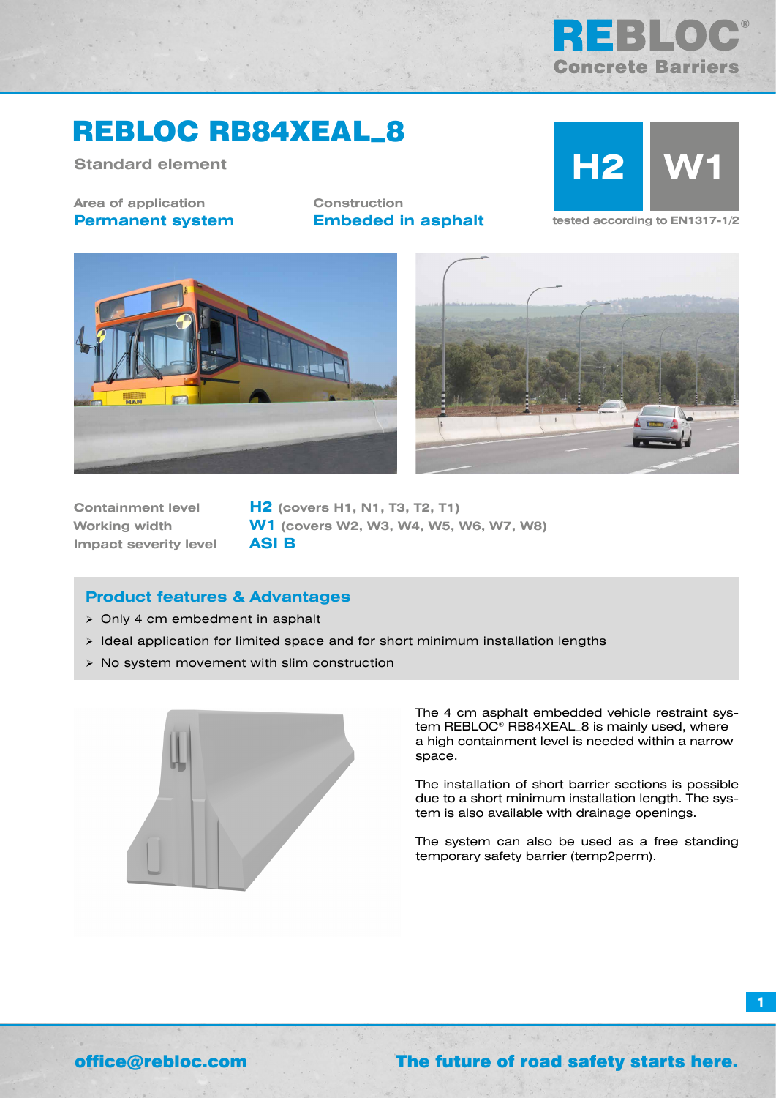

# REBLOC RB84XEAL\_8

**Standard element**

**Area of application Permanent system** **Construction Embeded in asphalt tested according to EN1317-1/2** 







**Impact severity level ASI B**

**Containment level H2 (covers H1, N1, T3, T2, T1) Working width W1 (covers W2, W3, W4, W5, W6, W7, W8)**

### **Product features & Advantages**

- $\geq$  Only 4 cm embedment in asphalt
- $\triangleright$  Ideal application for limited space and for short minimum installation lengths
- $\triangleright$  No system movement with slim construction



The 4 cm asphalt embedded vehicle restraint system REBLOC® RB84XEAL\_8 is mainly used, where a high containment level is needed within a narrow space.

The installation of short barrier sections is possible due to a short minimum installation length. The system is also available with drainage openings.

The system can also be used as a free standing temporary safety barrier (temp2perm).

**1**